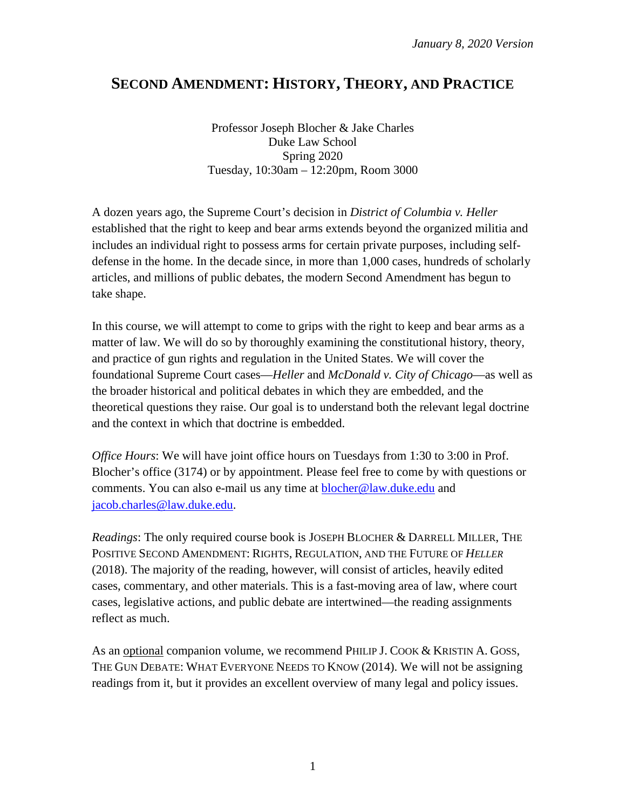# **SECOND AMENDMENT: HISTORY, THEORY, AND PRACTICE**

Professor Joseph Blocher & Jake Charles Duke Law School Spring 2020 Tuesday, 10:30am – 12:20pm, Room 3000

A dozen years ago, the Supreme Court's decision in *District of Columbia v. Heller*  established that the right to keep and bear arms extends beyond the organized militia and includes an individual right to possess arms for certain private purposes, including selfdefense in the home. In the decade since, in more than 1,000 cases, hundreds of scholarly articles, and millions of public debates, the modern Second Amendment has begun to take shape.

In this course, we will attempt to come to grips with the right to keep and bear arms as a matter of law. We will do so by thoroughly examining the constitutional history, theory, and practice of gun rights and regulation in the United States. We will cover the foundational Supreme Court cases—*Heller* and *McDonald v. City of Chicago*—as well as the broader historical and political debates in which they are embedded, and the theoretical questions they raise. Our goal is to understand both the relevant legal doctrine and the context in which that doctrine is embedded.

*Office Hours*: We will have joint office hours on Tuesdays from 1:30 to 3:00 in Prof. Blocher's office (3174) or by appointment. Please feel free to come by with questions or comments. You can also e-mail us any time at **blocher@law.duke.edu** and [jacob.charles@law.duke.edu.](mailto:jacob.charles@law.duke.edu)

*Readings*: The only required course book is JOSEPH BLOCHER & DARRELL MILLER, THE POSITIVE SECOND AMENDMENT: RIGHTS, REGULATION, AND THE FUTURE OF *HELLER* (2018). The majority of the reading, however, will consist of articles, heavily edited cases, commentary, and other materials. This is a fast-moving area of law, where court cases, legislative actions, and public debate are intertwined—the reading assignments reflect as much.

As an <u>optional</u> companion volume, we recommend PHILIP J. COOK & KRISTIN A. GOSS, THE GUN DEBATE: WHAT EVERYONE NEEDS TO KNOW (2014). We will not be assigning readings from it, but it provides an excellent overview of many legal and policy issues.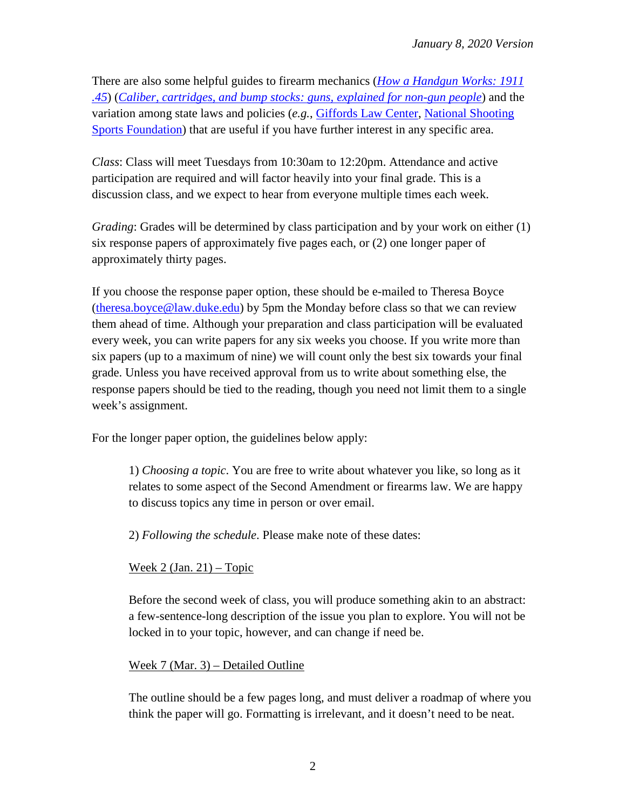There are also some helpful guides to firearm mechanics (*[How a Handgun Works: 1911](https://animagraffs.com/how-a-handgun-works-1911-45/)  [.45](https://animagraffs.com/how-a-handgun-works-1911-45/)*) (*[Caliber, cartridges, and bump stocks: guns, explained for non-gun people](https://www.vox.com/the-highlight/2019/7/31/17475072/guns-explained-assault-weapons-bans-guide-to-guns)*) and the variation among state laws and policies (*e.g.*, [Giffords Law Center,](https://lawcenter.giffords.org/) [National Shooting](https://www.nssf.org/government-relations/factsheets/)  [Sports Foundation\)](https://www.nssf.org/government-relations/factsheets/) that are useful if you have further interest in any specific area.

*Class*: Class will meet Tuesdays from 10:30am to 12:20pm. Attendance and active participation are required and will factor heavily into your final grade. This is a discussion class, and we expect to hear from everyone multiple times each week.

*Grading*: Grades will be determined by class participation and by your work on either (1) six response papers of approximately five pages each, or (2) one longer paper of approximately thirty pages.

If you choose the response paper option, these should be e-mailed to Theresa Boyce [\(theresa.boyce@law.duke.edu\)](mailto:theresa.boyce@law.duke.edu) by 5pm the Monday before class so that we can review them ahead of time. Although your preparation and class participation will be evaluated every week, you can write papers for any six weeks you choose. If you write more than six papers (up to a maximum of nine) we will count only the best six towards your final grade. Unless you have received approval from us to write about something else, the response papers should be tied to the reading, though you need not limit them to a single week's assignment.

For the longer paper option, the guidelines below apply:

1) *Choosing a topic*. You are free to write about whatever you like, so long as it relates to some aspect of the Second Amendment or firearms law. We are happy to discuss topics any time in person or over email.

2) *Following the schedule*. Please make note of these dates:

# Week 2 (Jan. 21) – Topic

Before the second week of class, you will produce something akin to an abstract: a few-sentence-long description of the issue you plan to explore. You will not be locked in to your topic, however, and can change if need be.

# Week 7 (Mar. 3) – Detailed Outline

The outline should be a few pages long, and must deliver a roadmap of where you think the paper will go. Formatting is irrelevant, and it doesn't need to be neat.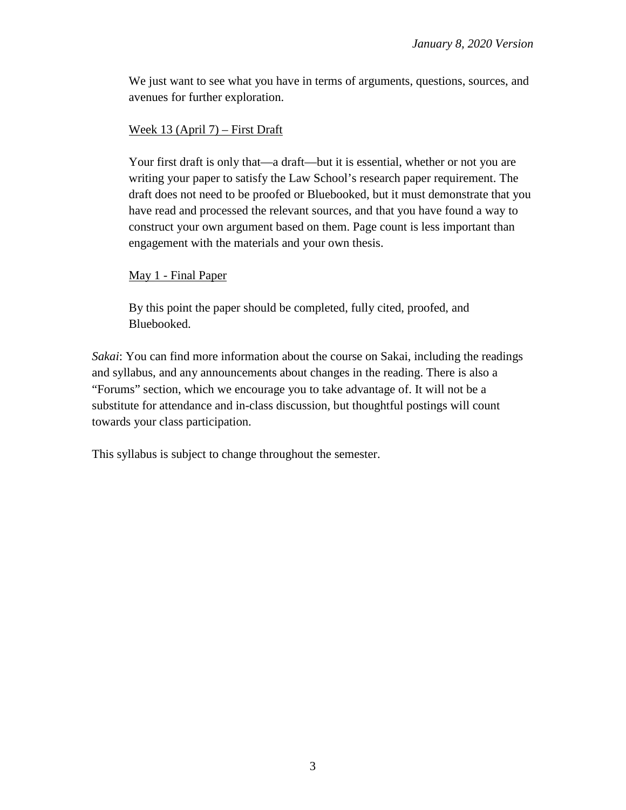We just want to see what you have in terms of arguments, questions, sources, and avenues for further exploration.

#### Week 13 (April 7) – First Draft

Your first draft is only that—a draft—but it is essential, whether or not you are writing your paper to satisfy the Law School's research paper requirement. The draft does not need to be proofed or Bluebooked, but it must demonstrate that you have read and processed the relevant sources, and that you have found a way to construct your own argument based on them. Page count is less important than engagement with the materials and your own thesis.

### May 1 - Final Paper

By this point the paper should be completed, fully cited, proofed, and Bluebooked.

*Sakai*: You can find more information about the course on Sakai, including the readings and syllabus, and any announcements about changes in the reading. There is also a "Forums" section, which we encourage you to take advantage of. It will not be a substitute for attendance and in-class discussion, but thoughtful postings will count towards your class participation.

This syllabus is subject to change throughout the semester.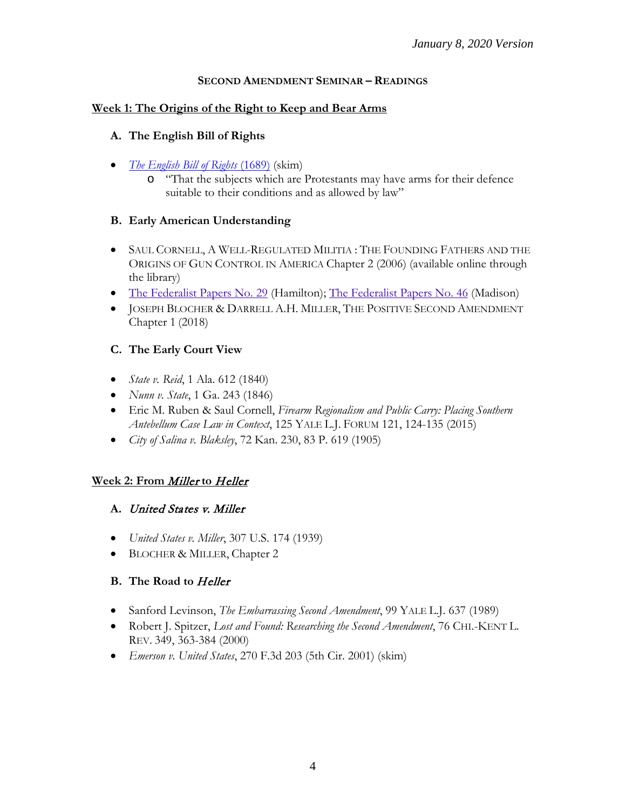#### **SECOND AMENDMENT SEMINAR – READINGS**

#### **Week 1: The Origins of the Right to Keep and Bear Arms**

#### **A. The English Bill of Rights**

- *[The English Bill of Rights](https://avalon.law.yale.edu/17th_century/england.asp)* (1689) (skim)
	- o "That the subjects which are Protestants may have arms for their defence suitable to their conditions and as allowed by law"

#### **B. Early American Understanding**

- SAUL CORNELL, A WELL-REGULATED MILITIA : THE FOUNDING FATHERS AND THE ORIGINS OF GUN CONTROL IN AMERICA Chapter 2 (2006) (available online through the library)
- The [Federalist](http://avalon.law.yale.edu/18th_century/fed46.asp) Papers No. 29 (Hamilton); The Federalist Papers No. 46 (Madison)
- JOSEPH BLOCHER & DARRELL A.H. MILLER, THE POSITIVE SECOND AMENDMENT Chapter 1 (2018)

### **C. The Early Court View**

- *State v. Reid*, 1 Ala. 612 (1840)
- *Nunn v. State*, 1 Ga. 243 (1846)
- Eric M. Ruben & Saul Cornell, *Firearm Regionalism and Public Carry: Placing Southern Antebellum Case Law in Context*, 125 YALE L.J. FORUM 121, 124-135 (2015)
- *City of Salina v. Blaksley*, 72 Kan. 230, 83 P. 619 (1905)

#### **Week 2: From** Miller **to** Heller

#### **A.** United States v. Miller

- *United States v. Miller*, 307 U.S. 174 (1939)
- BLOCHER & MILLER, Chapter 2

### **B. The Road to** Heller

- Sanford Levinson, *The Embarrassing Second Amendment*, 99 YALE L.J. 637 (1989)
- Robert J. Spitzer, *Lost and Found: Researching the Second Amendment*, 76 CHI.-KENT L. REV. 349, 363-384 (2000)
- *Emerson v. United States*, 270 F.3d 203 (5th Cir. 2001) (skim)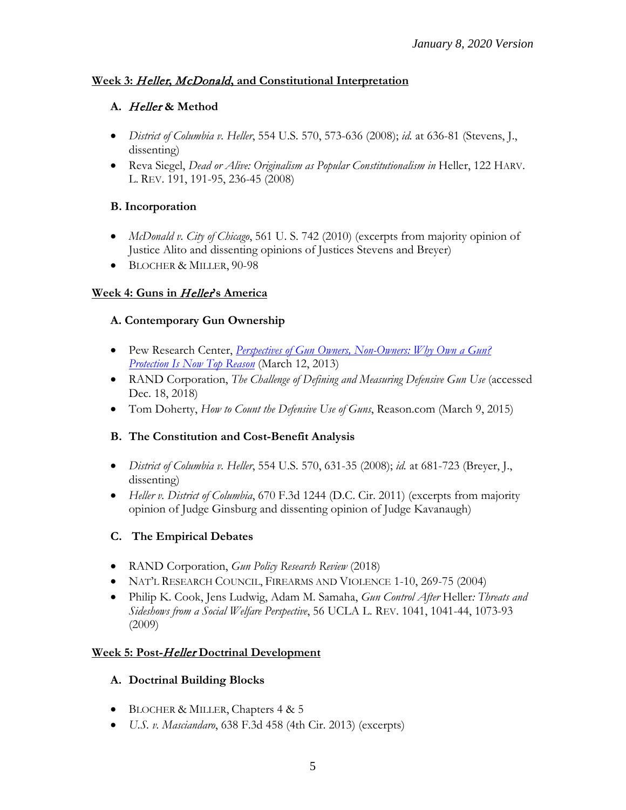### **Week 3:** Heller**,** McDonald**, and Constitutional Interpretation**

# **A.** Heller **& Method**

- *District of Columbia v. Heller*, 554 U.S. 570, 573-636 (2008); *id.* at 636-81 (Stevens, J., dissenting)
- Reva Siegel, *Dead or Alive: Originalism as Popular Constitutionalism in* Heller, 122 HARV. L. REV. 191, 191-95, 236-45 (2008)

### **B. Incorporation**

- *McDonald v. City of Chicago*, 561 U. S. 742 (2010) (excerpts from majority opinion of Justice Alito and dissenting opinions of Justices Stevens and Breyer)
- BLOCHER & MILLER, 90-98

### **Week 4: Guns in** Heller**'s America**

### **A. Contemporary Gun Ownership**

- Pew Research Center, *Perspectives of Gun Owners, Non-Owners: Why Own a Gun? [Protection Is Now Top Reason](http://www.people-press.org/files/legacy-pdf/03-12-13%20Gun%20Ownership%20Release.pdf)* (March 12, 2013)
- RAND Corporation, *The Challenge of Defining and Measuring Defensive Gun Use* (accessed Dec. 18, 2018)
- Tom Doherty, *How to Count the Defensive Use of Guns*, Reason.com (March 9, 2015)

# **B. The Constitution and Cost-Benefit Analysis**

- *District of Columbia v. Heller*, 554 U.S. 570, 631-35 (2008); *id.* at 681-723 (Breyer, J., dissenting)
- *Heller v. District of Columbia*, 670 F.3d 1244 (D.C. Cir. 2011) (excerpts from majority opinion of Judge Ginsburg and dissenting opinion of Judge Kavanaugh)

# **C. The Empirical Debates**

- RAND Corporation, *Gun Policy Research Review* (2018)
- NAT'L RESEARCH COUNCIL, FIREARMS AND VIOLENCE 1-10, 269-75 (2004)
- Philip K. Cook, Jens Ludwig, Adam M. Samaha, *Gun Control After* Heller*: Threats and Sideshows from a Social Welfare Perspective*, 56 UCLA L. REV. 1041, 1041-44, 1073-93 (2009)

# **Week 5: Post-**Heller **Doctrinal Development**

### **A. Doctrinal Building Blocks**

- BLOCHER & MILLER, Chapters 4 & 5
- *U.S. v. Masciandaro*, 638 F.3d 458 (4th Cir. 2013) (excerpts)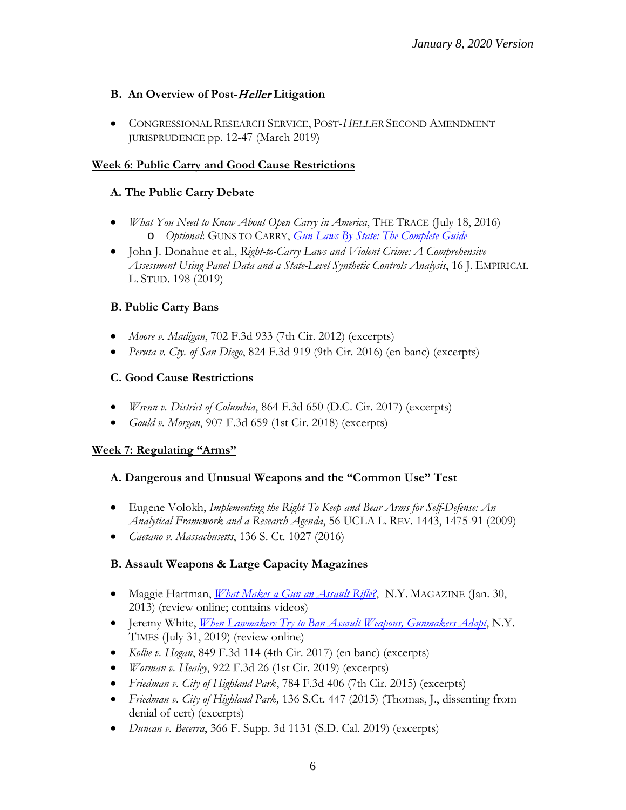### **B. An Overview of Post-**Heller **Litigation**

• CONGRESSIONAL RESEARCH SERVICE, POST-*HELLER* SECOND AMENDMENT JURISPRUDENCE pp. 12-47 (March 2019)

### **Week 6: Public Carry and Good Cause Restrictions**

### **A. The Public Carry Debate**

- *What You Need to Know About Open Carry in America*, THE TRACE (July 18, 2016) o *Optional*: GUNS TO CARRY, *[Gun Laws By State: The Complete Guide](https://www.gunstocarry.com/gun-laws-state/)*
- John J. Donahue et al., *Right-to-Carry Laws and Violent Crime: A Comprehensive Assessment Using Panel Data and a State-Level Synthetic Controls Analysis*, 16 J. EMPIRICAL L. STUD. 198 (2019)

### **B. Public Carry Bans**

- *Moore v. Madigan*, 702 F.3d 933 (7th Cir. 2012) (excerpts)
- *Peruta v. Cty. of San Diego*, 824 F.3d 919 (9th Cir. 2016) (en banc) (excerpts)

### **C. Good Cause Restrictions**

- *Wrenn v. District of Columbia*, 864 F.3d 650 (D.C. Cir. 2017) (excerpts)
- *Gould v. Morgan*, 907 F.3d 659 (1st Cir. 2018) (excerpts)

### **Week 7: Regulating "Arms"**

### **A. Dangerous and Unusual Weapons and the "Common Use" Test**

- Eugene Volokh, *Implementing the Right To Keep and Bear Arms for Self-Defense: An Analytical Framework and a Research Agenda*, 56 UCLA L. REV. 1443, 1475-91 (2009)
- *Caetano v. Massachusetts*, 136 S. Ct. 1027 (2016)

# **B. Assault Weapons & Large Capacity Magazines**

- Maggie Hartman, *[What Makes a Gun an Assault Rifle?](http://nymag.com/daily/intelligencer/2013/01/what-makes-a-gun-an-assault-weapon.html)*, N.Y. MAGAZINE (Jan. 30, 2013) (review online; contains videos)
- Jeremy White, *[When Lawmakers Try to Ban Assault Weapons, Gunmakers Adapt](https://www.nytimes.com/interactive/2019/07/31/us/assault-weapons-ban.html)*, N.Y. TIMES (July 31, 2019) (review online)
- *Kolbe v. Hogan*, 849 F.3d 114 (4th Cir. 2017) (en banc) (excerpts)
- *Worman v. Healey*, 922 F.3d 26 (1st Cir. 2019) (excerpts)
- *Friedman v. City of Highland Park*, 784 F.3d 406 (7th Cir. 2015) (excerpts)
- *Friedman v. City of Highland Park,* 136 S.Ct. 447 (2015) (Thomas, J., dissenting from denial of cert) (excerpts)
- *Duncan v. Becerra*, 366 F. Supp. 3d 1131 (S.D. Cal. 2019) (excerpts)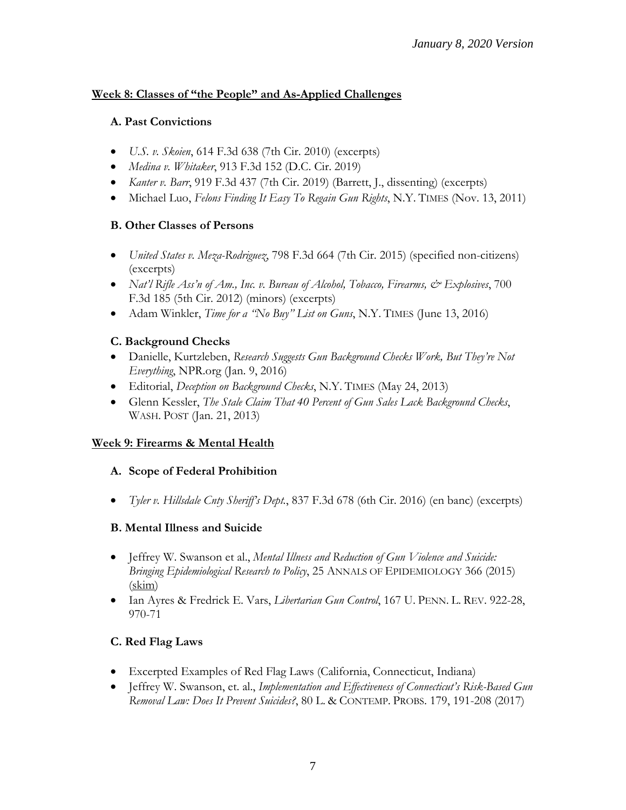### **Week 8: Classes of "the People" and As-Applied Challenges**

### **A. Past Convictions**

- *U.S. v. Skoien*, 614 F.3d 638 (7th Cir. 2010) (excerpts)
- *Medina v. Whitaker*, 913 F.3d 152 (D.C. Cir. 2019)
- *Kanter v. Barr*, 919 F.3d 437 (7th Cir. 2019) (Barrett, J., dissenting) (excerpts)
- Michael Luo, *Felons Finding It Easy To Regain Gun Rights*, N.Y. TIMES (Nov. 13, 2011)

### **B. Other Classes of Persons**

- *United States v. Meza-Rodriguez*, 798 F.3d 664 (7th Cir. 2015) (specified non-citizens) (excerpts)
- *Nat'l Rifle Ass'n of Am., Inc. v. Bureau of Alcohol, Tobacco, Firearms, & Explosives, 700* F.3d 185 (5th Cir. 2012) (minors) (excerpts)
- Adam Winkler, *Time for a "No Buy" List on Guns*, N.Y. TIMES (June 13, 2016)

# **C. Background Checks**

- Danielle, Kurtzleben, *Research Suggests Gun Background Checks Work, But They're Not Everything*, NPR.org (Jan. 9, 2016)
- Editorial, *Deception on Background Checks*, N.Y. TIMES (May 24, 2013)
- Glenn Kessler, *The Stale Claim That 40 Percent of Gun Sales Lack Background Checks*, WASH. POST (Jan. 21, 2013)

# **Week 9: Firearms & Mental Health**

### **A. Scope of Federal Prohibition**

• *Tyler v. Hillsdale Cnty Sheriff's Dept.*, 837 F.3d 678 (6th Cir. 2016) (en banc) (excerpts)

# **B. Mental Illness and Suicide**

- Jeffrey W. Swanson et al., *Mental Illness and Reduction of Gun Violence and Suicide: Bringing Epidemiological Research to Policy*, 25 ANNALS OF EPIDEMIOLOGY 366 (2015) (skim)
- Ian Ayres & Fredrick E. Vars, *Libertarian Gun Control*, 167 U. PENN. L. REV. 922-28, 970-71

# **C. Red Flag Laws**

- Excerpted Examples of Red Flag Laws (California, Connecticut, Indiana)
- Jeffrey W. Swanson, et. al., *Implementation and Effectiveness of Connecticut's Risk-Based Gun Removal Law: Does It Prevent Suicides?*, 80 L. & CONTEMP. PROBS. 179, 191-208 (2017)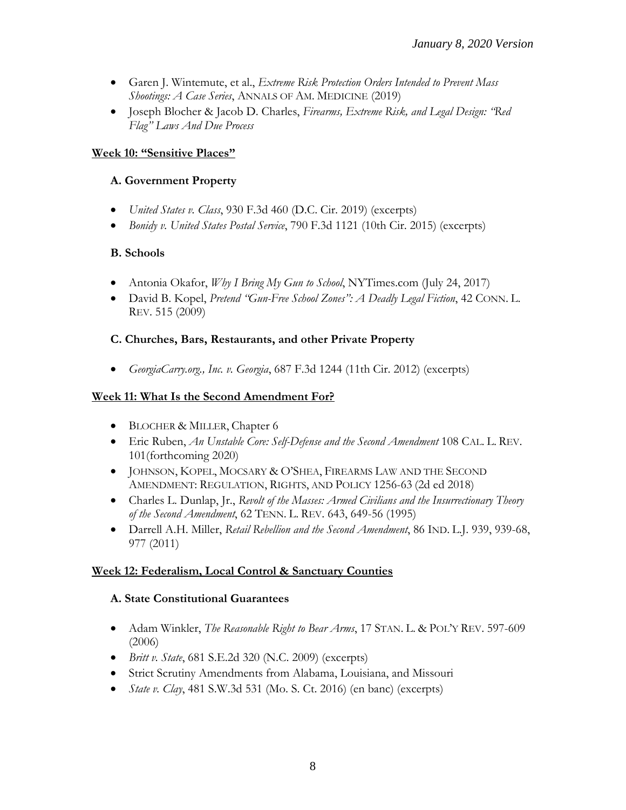- Garen J. Wintemute, et al., *Extreme Risk Protection Orders Intended to Prevent Mass Shootings: A Case Series*, ANNALS OF AM. MEDICINE (2019)
- Joseph Blocher & Jacob D. Charles, *Firearms, Extreme Risk, and Legal Design: "Red Flag" Laws And Due Process*

#### **Week 10: "Sensitive Places"**

#### **A. Government Property**

- *United States v. Class*, 930 F.3d 460 (D.C. Cir. 2019) (excerpts)
- *Bonidy v. United States Postal Service*, 790 F.3d 1121 (10th Cir. 2015) (excerpts)

#### **B. Schools**

- Antonia Okafor, *Why I Bring My Gun to School*, NYTimes.com (July 24, 2017)
- David B. Kopel, *Pretend "Gun-Free School Zones": A Deadly Legal Fiction*, 42 CONN. L. REV. 515 (2009)

#### **C. Churches, Bars, Restaurants, and other Private Property**

• *GeorgiaCarry.org., Inc. v. Georgia*, 687 F.3d 1244 (11th Cir. 2012) (excerpts)

#### **Week 11: What Is the Second Amendment For?**

- BLOCHER & MILLER, Chapter 6
- Eric Ruben, *An Unstable Core: Self-Defense and the Second Amendment* 108 CAL. L. REV. 101(forthcoming 2020)
- JOHNSON, KOPEL, MOCSARY & O'SHEA, FIREARMS LAW AND THE SECOND AMENDMENT: REGULATION, RIGHTS, AND POLICY 1256-63 (2d ed 2018)
- Charles L. Dunlap, Jr., *Revolt of the Masses: Armed Civilians and the Insurrectionary Theory of the Second Amendment*, 62 TENN. L. REV. 643, 649-56 (1995)
- Darrell A.H. Miller, *Retail Rebellion and the Second Amendment*, 86 IND. L.J. 939, 939-68, 977 (2011)

### **Week 12: Federalism, Local Control & Sanctuary Counties**

#### **A. State Constitutional Guarantees**

- Adam Winkler, *The Reasonable Right to Bear Arms*, 17 STAN. L. & POL'Y REV. 597-609 (2006)
- *Britt v. State*, 681 S.E.2d 320 (N.C. 2009) (excerpts)
- Strict Scrutiny Amendments from Alabama, Louisiana, and Missouri
- *State v. Clay*, 481 S.W.3d 531 (Mo. S. Ct. 2016) (en banc) (excerpts)